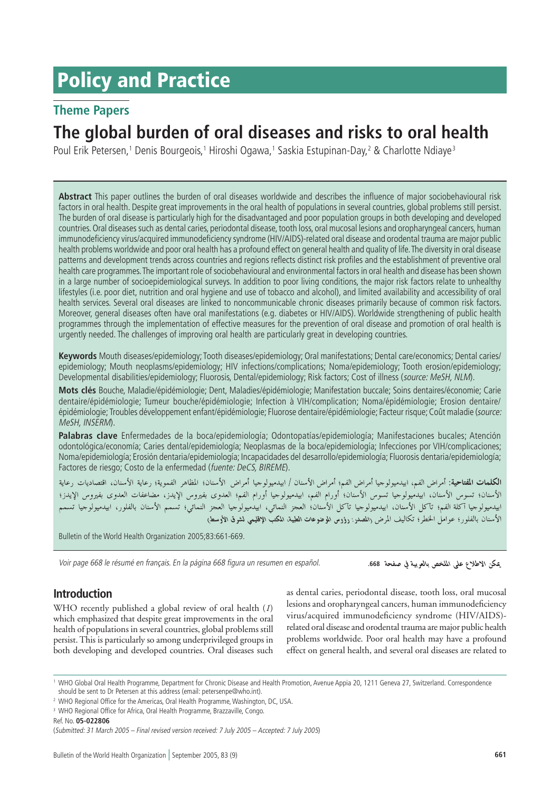# Policy and Practice

# **Theme Papers**

# **The global burden of oral diseases and risks to oral health**

Poul Erik Petersen,1 Denis Bourgeois,1 Hiroshi Ogawa,1 Saskia Estupinan-Day,2 & Charlotte Ndiaye<sup>3</sup>

**Abstract** This paper outlines the burden of oral diseases worldwide and describes the influence of major sociobehavioural risk factors in oral health. Despite great improvements in the oral health of populations in several countries, global problems still persist. The burden of oral disease is particularly high for the disadvantaged and poor population groups in both developing and developed countries. Oral diseases such as dental caries, periodontal disease, tooth loss, oral mucosal lesions and oropharyngeal cancers, human immunodeficiency virus/acquired immunodeficiency syndrome (HIV/AIDS)-related oral disease and orodental trauma are major public health problems worldwide and poor oral health has a profound effect on general health and quality of life. The diversity in oral disease patterns and development trends across countries and regions reflects distinct risk profiles and the establishment of preventive oral health care programmes. The important role of sociobehavioural and environmental factors in oral health and disease has been shown in a large number of socioepidemiological surveys. In addition to poor living conditions, the major risk factors relate to unhealthy lifestyles (i.e. poor diet, nutrition and oral hygiene and use of tobacco and alcohol), and limited availability and accessibility of oral health services. Several oral diseases are linked to noncommunicable chronic diseases primarily because of common risk factors. Moreover, general diseases often have oral manifestations (e.g. diabetes or HIV/AIDS). Worldwide strengthening of public health programmes through the implementation of effective measures for the prevention of oral disease and promotion of oral health is urgently needed. The challenges of improving oral health are particularly great in developing countries.

**Keywords** Mouth diseases/epidemiology; Tooth diseases/epidemiology; Oral manifestations; Dental care/economics; Dental caries/ epidemiology; Mouth neoplasms/epidemiology; HIV infections/complications; Noma/epidemiology; Tooth erosion/epidemiology; Developmental disabilities/epidemiology; Fluorosis, Dental/epidemiology; Risk factors; Cost of illness (source: MeSH, NLM).

**Mots clés** Bouche, Maladie/épidémiologie; Dent, Maladies/épidémiologie; Manifestation buccale; Soins dentaires/économie; Carie dentaire/épidémiologie; Tumeur bouche/épidémiologie; Infection à VIH/complication; Noma/épidémiologie; Erosion dentaire/ épidémiologie; Troubles développement enfant/épidémiologie; Fluorose dentaire/épidémiologie; Facteur risque; Coût maladie (source: MeSH, INSERM).

**Palabras clave** Enfermedades de la boca/epidemiología; Odontopatías/epidemiología; Manifestaciones bucales; Atención odontológica/economía; Caries dental/epidemiología; Neoplasmas de la boca/epidemiología; Infecciones por VIH/complicaciones; Noma/epidemiología; Erosión dentaria/epidemiología; Incapacidades del desarrollo/epidemiología; Fluorosis dentaria/epidemiología; Factores de riesgo; Costo de la enfermedad (fuente: DeCS, BIREME).

**الكلمات المفتاحية**: أمراض الفم، ابيدميولوجيا أمراض الفم؛ أمراض الأسنان / ابيدميولوجيا أمراض الأسنان؛ المظاهر الفموية؛ رعاية الأسنان، اقتصاديات رعاية الأسنان؛ تسوس الأسنان، ابيدميولوجيا تسوس الأسنان؛ أورام الفم، ابيدميولوجيا أورام الفم؛ العدوى بفيروس الإيدز، مضاعفات العدوى بفيروس الإيدز؛ ابيدميولوجيا آكلة الفم؛ تآكل الأسنان، ابيدميولوجيا تآكل الأسنان؛ العجز النمائي، ابيدميولوجيا العجز النمائي؛ تسمم الأسنان بالفلور، ابيدميولوجيا تسمم الأسنان بالفلور؛ عوامل الخطر؛ تكاليف المرض (المصدر: رؤوس الموضوعات الطبية، المكتب الإقليمي لشوق الأوسط)

Bulletin of the World Health Organization 2005;83:661-669.

Voir page 668 le résumé en français. En la página 668 figura un resumen en español.

يمكن الاطلاع على الملخص بالعربية في صفحة 668.

# **Introduction**

WHO recently published a global review of oral health (*1*) which emphasized that despite great improvements in the oral health of populations in several countries, global problems still persist. This is particularly so among underprivileged groups in both developing and developed countries. Oral diseases such as dental caries, periodontal disease, tooth loss, oral mucosal lesions and oropharyngeal cancers, human immunodeficiency virus/acquired immunodeficiency syndrome (HIV/AIDS) related oral disease and orodental trauma are major public health problems worldwide. Poor oral health may have a profound effect on general health, and several oral diseases are related to

1 WHO Global Oral Health Programme, Department for Chronic Disease and Health Promotion, Avenue Appia 20, 1211 Geneva 27, Switzerland. Correspondence should be sent to Dr Petersen at this address (email: petersenpe@who.int).

Ref. No. **05-022806**

(Submitted: 31 March 2005 – Final revised version received: 7 July 2005 – Accepted: 7 July 2005)

<sup>2</sup> WHO Regional Office for the Americas, Oral Health Programme, Washington, DC, USA.

<sup>3</sup> WHO Regional Office for Africa, Oral Health Programme, Brazzaville, Congo.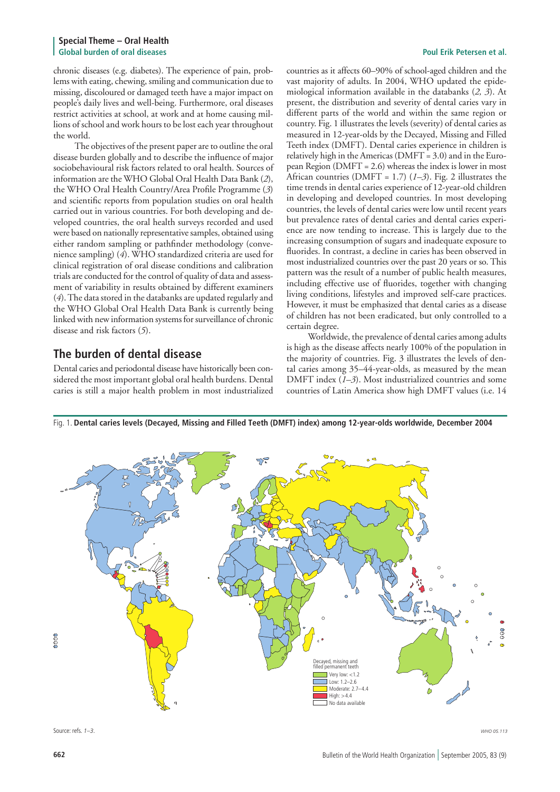chronic diseases (e.g. diabetes). The experience of pain, problems with eating, chewing, smiling and communication due to missing, discoloured or damaged teeth have a major impact on people's daily lives and well-being. Furthermore, oral diseases restrict activities at school, at work and at home causing millions of school and work hours to be lost each year throughout the world.

The objectives of the present paper are to outline the oral disease burden globally and to describe the influence of major sociobehavioural risk factors related to oral health. Sources of information are the WHO Global Oral Health Data Bank (*2*), the WHO Oral Health Country/Area Profile Programme (*3*) and scientific reports from population studies on oral health carried out in various countries. For both developing and developed countries, the oral health surveys recorded and used were based on nationally representative samples, obtained using either random sampling or pathfinder methodology (convenience sampling) (*4*). WHO standardized criteria are used for clinical registration of oral disease conditions and calibration trials are conducted for the control of quality of data and assessment of variability in results obtained by different examiners (*4*). The data stored in the databanks are updated regularly and the WHO Global Oral Health Data Bank is currently being linked with new information systems for surveillance of chronic disease and risk factors (*5*).

# **The burden of dental disease**

Dental caries and periodontal disease have historically been considered the most important global oral health burdens. Dental caries is still a major health problem in most industrialized

countries as it affects 60–90% of school-aged children and the vast majority of adults. In 2004, WHO updated the epidemiological information available in the databanks (*2, 3*). At present, the distribution and severity of dental caries vary in different parts of the world and within the same region or country. Fig. 1 illustrates the levels (severity) of dental caries as measured in 12-year-olds by the Decayed, Missing and Filled Teeth index (DMFT). Dental caries experience in children is relatively high in the Americas (DMFT = 3.0) and in the European Region (DMFT = 2.6) whereas the index is lower in most African countries (DMFT = 1.7) (*1–3*). Fig. 2 illustrates the time trends in dental caries experience of 12-year-old children in developing and developed countries. In most developing countries, the levels of dental caries were low until recent years but prevalence rates of dental caries and dental caries experience are now tending to increase. This is largely due to the increasing consumption of sugars and inadequate exposure to fluorides. In contrast, a decline in caries has been observed in most industrialized countries over the past 20 years or so. This pattern was the result of a number of public health measures, including effective use of fluorides, together with changing living conditions, lifestyles and improved self-care practices. However, it must be emphasized that dental caries as a disease of children has not been eradicated, but only controlled to a certain degree.

Worldwide, the prevalence of dental caries among adults is high as the disease affects nearly 100% of the population in the majority of countries. Fig. 3 illustrates the levels of dental caries among 35–44-year-olds, as measured by the mean DMFT index (*1–3*). Most industrialized countries and some countries of Latin America show high DMFT values (i.e. 14



Fig. 1. **Dental caries levels (Decayed, Missing and Filled Teeth (DMFT) index) among 12-year-olds worldwide, December 2004**

Source: refs. *1–3*. *WHO 05.113*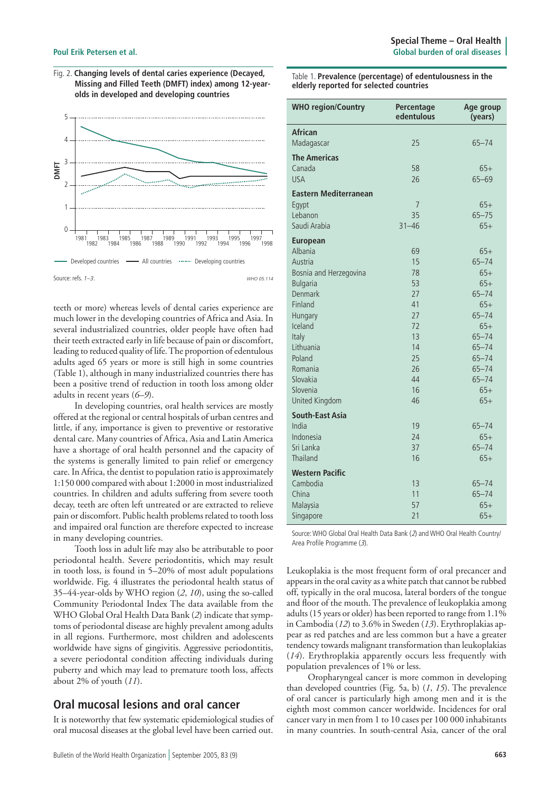

#### Fig. 2. **Changing levels of dental caries experience (Decayed, Missing and Filled Teeth (DMFT) index) among 12-yearolds in developed and developing countries**

teeth or more) whereas levels of dental caries experience are much lower in the developing countries of Africa and Asia. In several industrialized countries, older people have often had their teeth extracted early in life because of pain or discomfort, leading to reduced quality of life. The proportion of edentulous adults aged 65 years or more is still high in some countries (Table 1), although in many industrialized countries there has been a positive trend of reduction in tooth loss among older adults in recent years (*6–9*).

In developing countries, oral health services are mostly offered at the regional or central hospitals of urban centres and little, if any, importance is given to preventive or restorative dental care. Many countries of Africa, Asia and Latin America have a shortage of oral health personnel and the capacity of the systems is generally limited to pain relief or emergency care. In Africa, the dentist to population ratio is approximately 1:150 000 compared with about 1:2000 in most industrialized countries. In children and adults suffering from severe tooth decay, teeth are often left untreated or are extracted to relieve pain or discomfort. Public health problems related to tooth loss and impaired oral function are therefore expected to increase in many developing countries.

Tooth loss in adult life may also be attributable to poor periodontal health. Severe periodontitis, which may result in tooth loss, is found in 5–20% of most adult populations worldwide. Fig. 4 illustrates the periodontal health status of 35–44-year-olds by WHO region (*2*, *10*), using the so-called Community Periodontal Index The data available from the WHO Global Oral Health Data Bank (*2*) indicate that symptoms of periodontal disease are highly prevalent among adults in all regions. Furthermore, most children and adolescents worldwide have signs of gingivitis. Aggressive periodontitis, a severe periodontal condition affecting individuals during puberty and which may lead to premature tooth loss, affects about 2% of youth (*11*).

## **Oral mucosal lesions and oral cancer**

It is noteworthy that few systematic epidemiological studies of oral mucosal diseases at the global level have been carried out. Table 1. **Prevalence (percentage) of edentulousness in the elderly reported for selected countries**

| <b>WHO region/Country</b>    | Percentage<br>edentulous | Age group<br>(years)   |
|------------------------------|--------------------------|------------------------|
| <b>African</b>               |                          |                        |
| Madagascar                   | 25                       | $65 - 74$              |
| <b>The Americas</b>          |                          |                        |
| Canada                       | 58                       | $65+$                  |
| <b>USA</b>                   | 26                       | $65 - 69$              |
| <b>Eastern Mediterranean</b> |                          |                        |
| Egypt                        | $\overline{7}$           | $65+$                  |
| Lebanon                      | 35                       | $65 - 75$              |
| Saudi Arabia                 | $31 - 46$                | $65+$                  |
| <b>European</b>              |                          |                        |
| Albania                      | 69                       | $65+$                  |
| Austria                      | 15                       | $65 - 74$              |
| Bosnia and Herzegovina       | 78                       | $65+$                  |
| <b>Bulgaria</b>              | 53                       | $65+$                  |
| Denmark                      | 27                       | $65 - 74$              |
| Finland                      | 41                       | $65+$                  |
| Hungary                      | 27                       | $65 - 74$              |
| Iceland                      | 72                       | $65+$                  |
| Italy<br>Lithuania           | 13<br>14                 | $65 - 74$              |
| Poland                       | 25                       | $65 - 74$<br>$65 - 74$ |
| Romania                      | 26                       | $65 - 74$              |
| Slovakia                     | 44                       | $65 - 74$              |
| Slovenia                     | 16                       | $65+$                  |
| United Kingdom               | 46                       | $65+$                  |
| <b>South-East Asia</b>       |                          |                        |
| India                        | 19                       | $65 - 74$              |
| Indonesia                    | 24                       | $65+$                  |
| Sri Lanka                    | 37                       | $65 - 74$              |
| Thailand                     | 16                       | $65+$                  |
| <b>Western Pacific</b>       |                          |                        |
| Cambodia                     | 13                       | $65 - 74$              |
| China                        | 11                       | $65 - 74$              |
| Malaysia                     | 57                       | $65+$                  |
| Singapore                    | 21                       | $65+$                  |

Source: WHO Global Oral Health Data Bank (2) and WHO Oral Health Country/ Area Profile Programme (3).

Leukoplakia is the most frequent form of oral precancer and appears in the oral cavity as a white patch that cannot be rubbed off, typically in the oral mucosa, lateral borders of the tongue and floor of the mouth. The prevalence of leukoplakia among adults (15 years or older) has been reported to range from 1.1% in Cambodia (*12*) to 3.6% in Sweden (*13*). Erythroplakias appear as red patches and are less common but a have a greater tendency towards malignant transformation than leukoplakias (*14*). Erythroplakia apparently occurs less frequently with population prevalences of 1% or less.

Oropharyngeal cancer is more common in developing than developed countries (Fig. 5a, b) (*1*, *15*). The prevalence of oral cancer is particularly high among men and it is the eighth most common cancer worldwide. Incidences for oral cancer vary in men from 1 to 10 cases per 100 000 inhabitants in many countries. In south-central Asia, cancer of the oral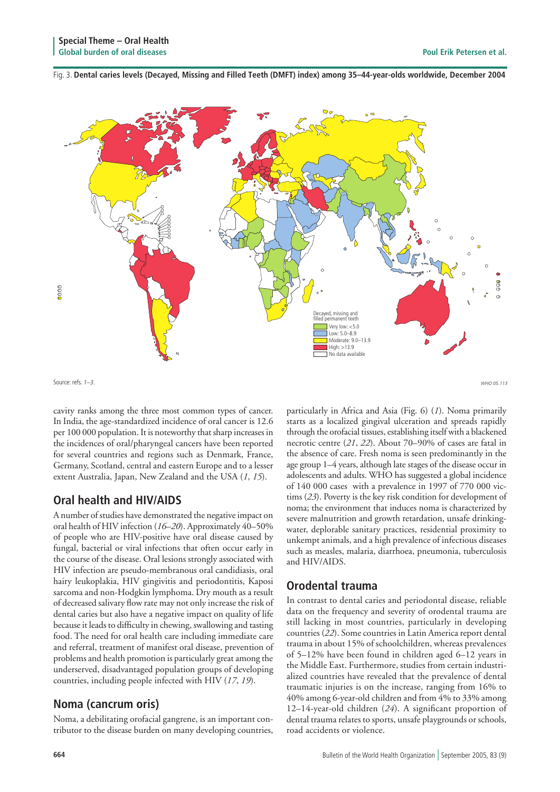Fig. 3. **Dental caries levels (Decayed, Missing and Filled Teeth (DMFT) index) among 35–44-year-olds worldwide, December 2004**



Source: refs. *1–3*. *WHO 05.113*

cavity ranks among the three most common types of cancer. In India, the age-standardized incidence of oral cancer is 12.6 per 100 000 population. It is noteworthy that sharp increases in the incidences of oral/pharyngeal cancers have been reported for several countries and regions such as Denmark, France, Germany, Scotland, central and eastern Europe and to a lesser extent Australia, Japan, New Zealand and the USA (*1*, *15*).

# **Oral health and HIV/AIDS**

A number of studies have demonstrated the negative impact on oral health of HIV infection (*16–20*). Approximately 40–50% of people who are HIV-positive have oral disease caused by fungal, bacterial or viral infections that often occur early in the course of the disease. Oral lesions strongly associated with HIV infection are pseudo-membranous oral candidiasis, oral hairy leukoplakia, HIV gingivitis and periodontitis, Kaposi sarcoma and non-Hodgkin lymphoma. Dry mouth as a result of decreased salivary flow rate may not only increase the risk of dental caries but also have a negative impact on quality of life because it leads to difficulty in chewing, swallowing and tasting food. The need for oral health care including immediate care and referral, treatment of manifest oral disease, prevention of problems and health promotion is particularly great among the underserved, disadvantaged population groups of developing countries, including people infected with HIV (*17*, *19*).

# **Noma (cancrum oris)**

Noma, a debilitating orofacial gangrene, is an important contributor to the disease burden on many developing countries,

particularly in Africa and Asia (Fig. 6) (*1*). Noma primarily starts as a localized gingival ulceration and spreads rapidly through the orofacial tissues, establishing itself with a blackened necrotic centre (*21*, *22*). About 70–90% of cases are fatal in the absence of care. Fresh noma is seen predominantly in the age group 1–4 years, although late stages of the disease occur in adolescents and adults. WHO has suggested a global incidence of 140 000 cases with a prevalence in 1997 of 770 000 victims (*23*). Poverty is the key risk condition for development of noma; the environment that induces noma is characterized by severe malnutrition and growth retardation, unsafe drinkingwater, deplorable sanitary practices, residential proximity to unkempt animals, and a high prevalence of infectious diseases such as measles, malaria, diarrhoea, pneumonia, tuberculosis and HIV/AIDS.

# **Orodental trauma**

In contrast to dental caries and periodontal disease, reliable data on the frequency and severity of orodental trauma are still lacking in most countries, particularly in developing countries (*22*). Some countries in Latin America report dental trauma in about 15% of schoolchildren, whereas prevalences of 5–12% have been found in children aged 6–12 years in the Middle East. Furthermore, studies from certain industrialized countries have revealed that the prevalence of dental traumatic injuries is on the increase, ranging from 16% to 40% among 6-year-old children and from 4% to 33% among 12–14-year-old children (*24*). A significant proportion of dental trauma relates to sports, unsafe playgrounds or schools, road accidents or violence.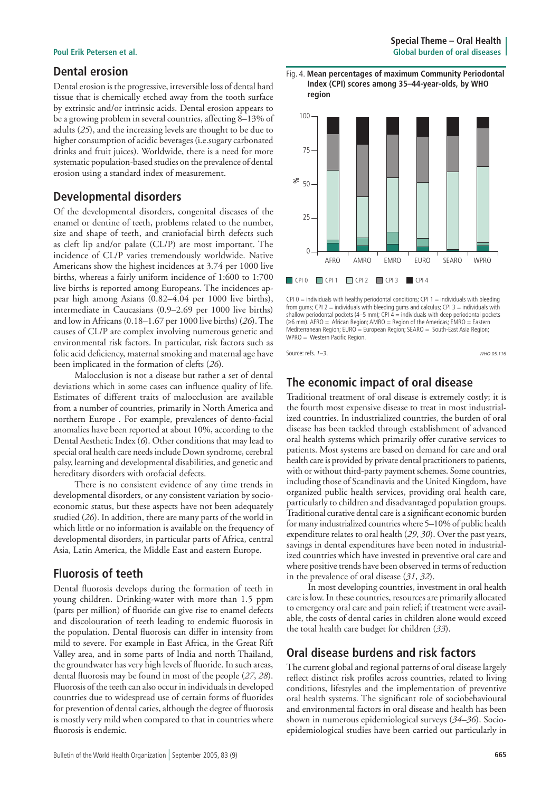# **Dental erosion**

Dental erosion is the progressive, irreversible loss of dental hard tissue that is chemically etched away from the tooth surface by extrinsic and/or intrinsic acids. Dental erosion appears to be a growing problem in several countries, affecting 8–13% of adults (*25*), and the increasing levels are thought to be due to higher consumption of acidic beverages (i.e.sugary carbonated drinks and fruit juices). Worldwide, there is a need for more systematic population-based studies on the prevalence of dental erosion using a standard index of measurement.

# **Developmental disorders**

Of the developmental disorders, congenital diseases of the enamel or dentine of teeth, problems related to the number, size and shape of teeth, and craniofacial birth defects such as cleft lip and/or palate (CL/P) are most important. The incidence of CL/P varies tremendously worldwide. Native Americans show the highest incidences at 3.74 per 1000 live births, whereas a fairly uniform incidence of 1:600 to 1:700 live births is reported among Europeans. The incidences appear high among Asians (0.82–4.04 per 1000 live births), intermediate in Caucasians (0.9–2.69 per 1000 live births) and low in Africans (0.18–1.67 per 1000 live births) (*26*). The causes of CL/P are complex involving numerous genetic and environmental risk factors. In particular, risk factors such as folic acid deficiency, maternal smoking and maternal age have been implicated in the formation of clefts (*26*).

Malocclusion is not a disease but rather a set of dental deviations which in some cases can influence quality of life. Estimates of different traits of malocclusion are available from a number of countries, primarily in North America and northern Europe . For example, prevalences of dento-facial anomalies have been reported at about 10%, according to the Dental Aesthetic Index (*6*). Other conditions that may lead to special oral health care needs include Down syndrome, cerebral palsy, learning and developmental disabilities, and genetic and hereditary disorders with orofacial defects.

There is no consistent evidence of any time trends in developmental disorders, or any consistent variation by socioeconomic status, but these aspects have not been adequately studied (*26*). In addition, there are many parts of the world in which little or no information is available on the frequency of developmental disorders, in particular parts of Africa, central Asia, Latin America, the Middle East and eastern Europe.

# **Fluorosis of teeth**

Dental fluorosis develops during the formation of teeth in young children. Drinking-water with more than 1.5 ppm (parts per million) of fluoride can give rise to enamel defects and discolouration of teeth leading to endemic fluorosis in the population. Dental fluorosis can differ in intensity from mild to severe. For example in East Africa, in the Great Rift Valley area, and in some parts of India and north Thailand, the groundwater has very high levels of fluoride. In such areas, dental fluorosis may be found in most of the people (*27*, *28*). Fluorosis of the teeth can also occur in individuals in developed countries due to widespread use of certain forms of fluorides for prevention of dental caries, although the degree of fluorosis is mostly very mild when compared to that in countries where fluorosis is endemic.





CPI 0 = individuals with healthy periodontal conditions; CPI 1 = individuals with bleeding from gums; CPI 2 = individuals with bleeding gums and calculus; CPI 3 = individuals with shallow periodontal pockets (4–5 mm); CPI 4 = individuals with deep periodontal pockets (≥6 mm). AFRO = African Region; AMRO = Region of the Americas; EMRO = Eastern Mediterranean Region; EURO = European Region; SEARO = South-East Asia Region;  $WPRO = Western Pacific Region$ 

Source: refs. *1–3*.

*WHO 05.116*

# **The economic impact of oral disease**

Traditional treatment of oral disease is extremely costly; it is the fourth most expensive disease to treat in most industrialized countries. In industrialized countries, the burden of oral disease has been tackled through establishment of advanced oral health systems which primarily offer curative services to patients. Most systems are based on demand for care and oral health care is provided by private dental practitioners to patients, with or without third-party payment schemes. Some countries, including those of Scandinavia and the United Kingdom, have organized public health services, providing oral health care, particularly to children and disadvantaged population groups. Traditional curative dental care is a significant economic burden for many industrialized countries where 5–10% of public health expenditure relates to oral health (*29*, *30*). Over the past years, savings in dental expenditures have been noted in industrialized countries which have invested in preventive oral care and where positive trends have been observed in terms of reduction in the prevalence of oral disease (*31*, *32*).

In most developing countries, investment in oral health care is low. In these countries, resources are primarily allocated to emergency oral care and pain relief; if treatment were available, the costs of dental caries in children alone would exceed the total health care budget for children (*33*).

# **Oral disease burdens and risk factors**

The current global and regional patterns of oral disease largely reflect distinct risk profiles across countries, related to living conditions, lifestyles and the implementation of preventive oral health systems. The significant role of sociobehavioural and environmental factors in oral disease and health has been shown in numerous epidemiological surveys (*34–36*). Socioepidemiological studies have been carried out particularly in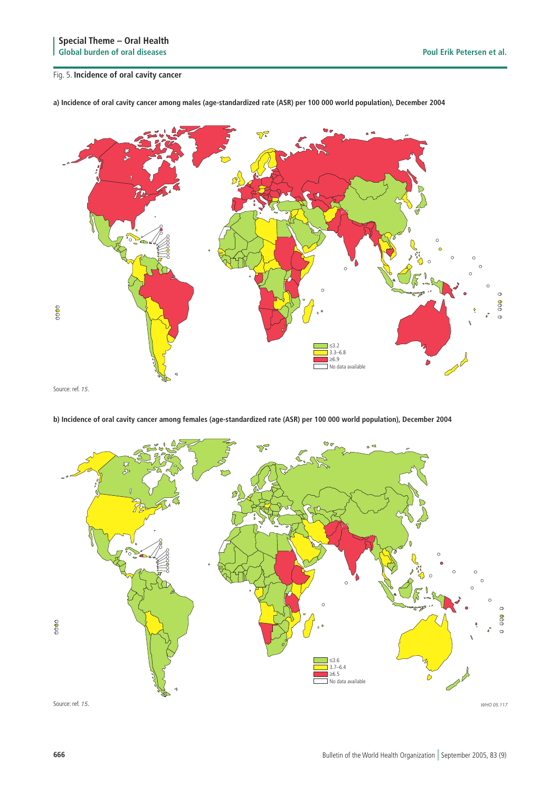### Fig. 5. **Incidence of oral cavity cancer**



**a) Incidence of oral cavity cancer among males (age-standardized rate (ASR) per 100 000 world population), December 2004**

Source: ref. *15*.

**b) Incidence of oral cavity cancer among females (age-standardized rate (ASR) per 100 000 world population), December 2004**

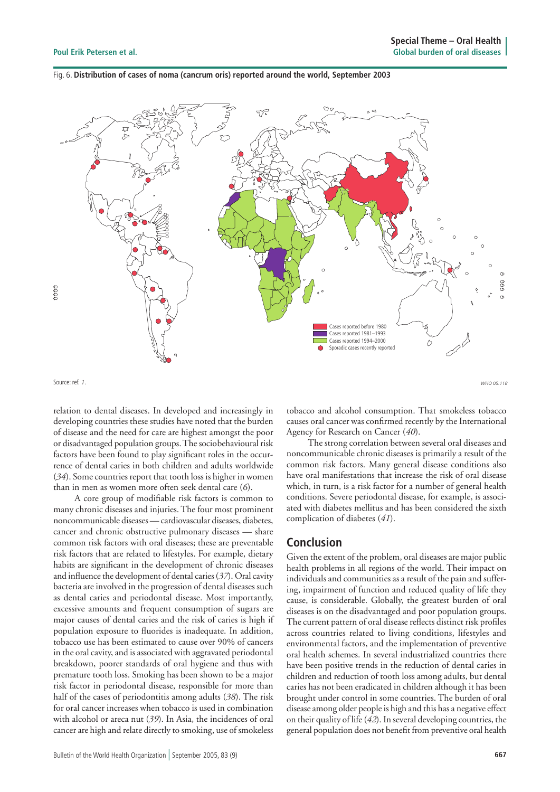#### Fig. 6. **Distribution of cases of noma (cancrum oris) reported around the world, September 2003**



Source: ref. *1*. *WHO 05.118*

relation to dental diseases. In developed and increasingly in developing countries these studies have noted that the burden of disease and the need for care are highest amongst the poor or disadvantaged population groups. The socio behavioural risk factors have been found to play significant roles in the occurrence of dental caries in both children and adults worldwide (*34*). Some countries report that tooth loss is higher in women than in men as women more often seek dental care (*6*).

A core group of modifiable risk factors is common to many chronic diseases and injuries. The four most prominent noncommunicable diseases — cardiovascular diseases, diabetes, cancer and chronic obstructive pulmonary diseases — share common risk factors with oral diseases; these are preventable risk factors that are related to lifestyles. For example, dietary habits are significant in the development of chronic diseases and influence the development of dental caries (*37*). Oral cavity bacteria are involved in the progression of dental diseases such as dental caries and periodontal disease. Most importantly, excessive amounts and frequent consumption of sugars are major causes of dental caries and the risk of caries is high if population exposure to fluorides is inadequate. In addition, tobacco use has been estimated to cause over 90% of cancers in the oral cavity, and is associated with aggravated periodontal breakdown, poorer standards of oral hygiene and thus with premature tooth loss. Smoking has been shown to be a major risk factor in periodontal disease, responsible for more than half of the cases of periodontitis among adults (*38*). The risk for oral cancer increases when tobacco is used in combination with alcohol or areca nut (*39*). In Asia, the incidences of oral cancer are high and relate directly to smoking, use of smokeless

tobacco and alcohol consumption. That smokeless tobacco causes oral cancer was confirmed recently by the International Agency for Research on Cancer (*40*).

The strong correlation between several oral diseases and noncommunicable chronic diseases is primarily a result of the common risk factors. Many general disease conditions also have oral manifestations that increase the risk of oral disease which, in turn, is a risk factor for a number of general health conditions. Severe periodontal disease, for example, is associated with diabetes mellitus and has been considered the sixth complication of diabetes (*41*).

## **Conclusion**

Given the extent of the problem, oral diseases are major public health problems in all regions of the world. Their impact on individuals and communities as a result of the pain and suffering, impairment of function and reduced quality of life they cause, is considerable. Globally, the greatest burden of oral diseases is on the disadvantaged and poor population groups. The current pattern of oral disease reflects distinct risk profiles across countries related to living conditions, lifestyles and environmental factors, and the implementation of preventive oral health schemes. In several industrialized countries there have been positive trends in the reduction of dental caries in children and reduction of tooth loss among adults, but dental caries has not been eradicated in children although it has been brought under control in some countries. The burden of oral disease among older people is high and this has a negative effect on their quality of life (*42*). In several developing countries, the general population does not benefit from preventive oral health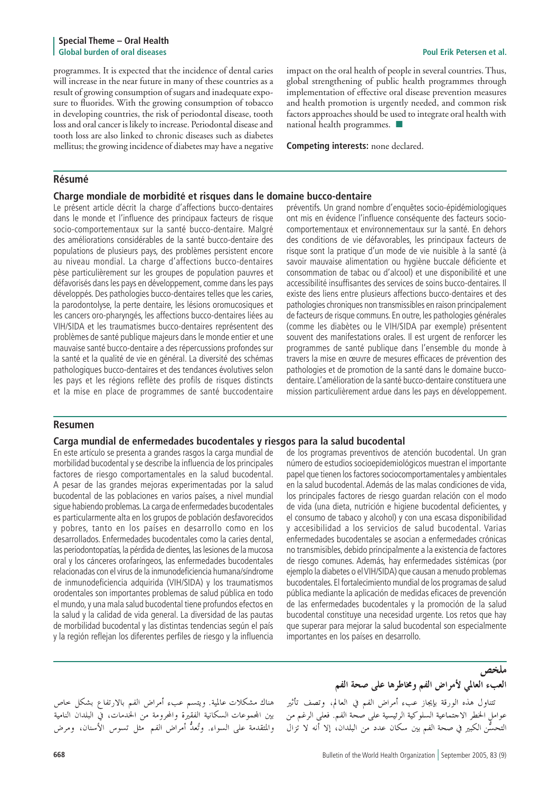programmes. It is expected that the incidence of dental caries will increase in the near future in many of these countries as a result of growing consumption of sugars and inadequate exposure to fluorides. With the growing consumption of tobacco in developing countries, the risk of periodontal disease, tooth loss and oral cancer is likely to increase. Periodontal disease and tooth loss are also linked to chronic diseases such as diabetes mellitus; the growing incidence of diabetes may have a negative

impact on the oral health of people in several countries. Thus, global strengthening of public health programmes through implementation of effective oral disease prevention measures and health promotion is urgently needed, and common risk factors approaches should be used to integrate oral health with national health programmes.  $\blacksquare$ 

#### **Competing interests:** none declared.

### **Résumé**

#### **Charge mondiale de morbidité et risques dans le domaine bucco-dentaire**

Le présent article décrit la charge d'affections bucco-dentaires dans le monde et l'influence des principaux facteurs de risque socio-comportementaux sur la santé bucco-dentaire. Malgré des améliorations considérables de la santé bucco-dentaire des populations de plusieurs pays, des problèmes persistent encore au niveau mondial. La charge d'affections bucco-dentaires pèse particulièrement sur les groupes de population pauvres et défavorisés dans les pays en développement, comme dans les pays développés. Des pathologies bucco-dentaires telles que les caries, la parodontolyse, la perte dentaire, les lésions oromucosiques et les cancers oro-pharyngés, les affections bucco-dentaires liées au VIH/SIDA et les traumatismes bucco-dentaires représentent des problèmes de santé publique majeurs dans le monde entier et une mauvaise santé bucco-dentaire a des répercussions profondes sur la santé et la qualité de vie en général. La diversité des schémas pathologiques bucco-dentaires et des tendances évolutives selon les pays et les régions reflète des profils de risques distincts et la mise en place de programmes de santé buccodentaire

préventifs. Un grand nombre d'enquêtes socio-épidémiologiques ont mis en évidence l'influence conséquente des facteurs sociocomportementaux et environnementaux sur la santé. En dehors des conditions de vie défavorables, les principaux facteurs de risque sont la pratique d'un mode de vie nuisible à la santé (à savoir mauvaise alimentation ou hygiène buccale déficiente et consommation de tabac ou d'alcool) et une disponibilité et une accessibilité insuffisantes des services de soins bucco-dentaires. Il existe des liens entre plusieurs affections bucco-dentaires et des pathologies chroniques non transmissibles en raison principalement de facteurs de risque communs. En outre, les pathologies générales (comme les diabètes ou le VIH/SIDA par exemple) présentent souvent des manifestations orales. Il est urgent de renforcer les programmes de santé publique dans l'ensemble du monde à travers la mise en œuvre de mesures efficaces de prévention des pathologies et de promotion de la santé dans le domaine buccodentaire. L'amélioration de la santé bucco-dentaire constituera une mission particulièrement ardue dans les pays en développement.

#### **Resumen**

#### **Carga mundial de enfermedades bucodentales y riesgos para la salud bucodental**

En este artículo se presenta a grandes rasgos la carga mundial de morbilidad bucodental y se describe la influencia de los principales factores de riesgo comportamentales en la salud bucodental. A pesar de las grandes mejoras experimentadas por la salud bucodental de las poblaciones en varios países, a nivel mundial sigue habiendo problemas. La carga de enfermedades bucodentales es particularmente alta en los grupos de población desfavorecidos y pobres, tanto en los países en desarrollo como en los desarrollados. Enfermedades bucodentales como la caries dental, las periodontopatías, la pérdida de dientes, las lesiones de la mucosa oral y los cánceres orofaríngeos, las enfermedades bucodentales relacionadas con el virus de la inmunodeficiencia humana/síndrome de inmunodeficiencia adquirida (VIH/SIDA) y los traumatismos orodentales son importantes problemas de salud pública en todo el mundo, y una mala salud bucodental tiene profundos efectos en la salud y la calidad de vida general. La diversidad de las pautas de morbilidad bucodental y las distintas tendencias según el país y la región reflejan los diferentes perfiles de riesgo y la influencia

de los programas preventivos de atención bucodental. Un gran número de estudios socioepidemiológicos muestran el importante papel que tienen los factores sociocomportamentales y ambientales en la salud bucodental. Además de las malas condiciones de vida, los principales factores de riesgo guardan relación con el modo de vida (una dieta, nutrición e higiene bucodental deficientes, y el consumo de tabaco y alcohol) y con una escasa disponibilidad y accesibilidad a los servicios de salud bucodental. Varias enfermedades bucodentales se asocian a enfermedades crónicas no transmisibles, debido principalmente a la existencia de factores de riesgo comunes. Además, hay enfermedades sistémicas (por ejemplo la diabetes o el VIH/SIDA) que causan a menudo problemas bucodentales. El fortalecimiento mundial de los programas de salud pública mediante la aplicación de medidas eficaces de prevención de las enfermedades bucodentales y la promoción de la salud bucodental constituye una necesidad urgente. Los retos que hay que superar para mejorar la salud bucodental son especialmente importantes en los países en desarrollo.

## ملخص

العبء العالمي لأمراض الفم ومخاطرها على صحة الفم

هناك مشكلات عالمية. ويتسم عبء أمراض الفم بالارتفاع بشكل حاص بين المجموعات السكانية الفقيرة والمحرومة من الخدمات، في البلدان النامية والمتقدمة على السواء. وتُعلُّ أمراض الفيم مثل تسوس الأسنان، ومرض تتناول هذه الورقة بإيجاز عبء أمراض الفم في العالم، وتصف تأثير عوامل الخطر الاحتماعية السلوكية الرئيسية على صحة الفم. فعلى الرغم من التحسُّن الكبير في صحة الفم بين سكان عدد من البلدان، إلا أنه لا تزال